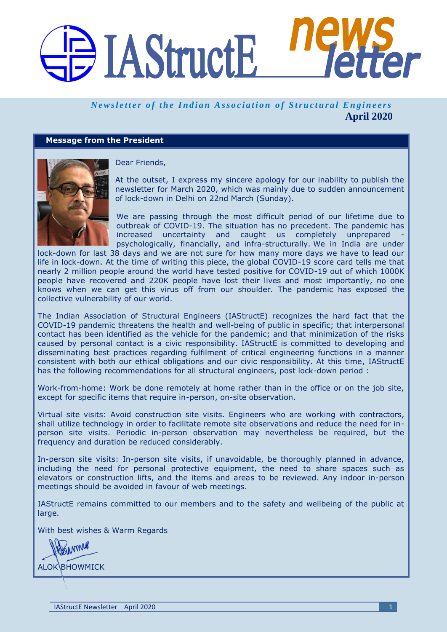# BIAStructE

# *Newsletter of the Indian Association of Structural Engineers* **April 2020**

# **Message from the President**



Dear Friends,

At the outset, I express my sincere apology for our inability to publish the newsletter for March 2020, which was mainly due to sudden announcement of lock-down in Delhi on 22nd March (Sunday).

We are passing through the most difficult period of our lifetime due to outbreak of COVID-19. The situation has no precedent. The pandemic has increased uncertainty and caught us completely unprepared psychologically, financially, and infra-structurally. We in India are under

lock-down for last 38 days and we are not sure for how many more days we have to lead our life in lock-down. At the time of writing this piece, the global COVID-19 score card tells me that nearly 2 million people around the world have tested positive for COVID-19 out of which 1000K people have recovered and 220K people have lost their lives and most importantly, no one knows when we can get this virus off from our shoulder. The pandemic has exposed the collective vulnerability of our world.

The Indian Association of Structural Engineers (IAStructE) recognizes the hard fact that the COVID-19 pandemic threatens the health and well-being of public in specific; that interpersonal contact has been identified as the vehicle for the pandemic; and that minimization of the risks caused by personal contact is a civic responsibility. IAStructE is committed to developing and disseminating best practices regarding fulfilment of critical engineering functions in a manner consistent with both our ethical obligations and our civic responsibility. At this time, IAStructE has the following recommendations for all structural engineers, post lock-down period :

Work-from-home: Work be done remotely at home rather than in the office or on the job site, except for specific items that require in-person, on-site observation.

Virtual site visits: Avoid construction site visits. Engineers who are working with contractors, shall utilize technology in order to facilitate remote site observations and reduce the need for inperson site visits. Periodic in-person observation may nevertheless be required, but the frequency and duration be reduced considerably.

In-person site visits: In-person site visits, if unavoidable, be thoroughly planned in advance, including the need for personal protective equipment, the need to share spaces such as elevators or construction lifts, and the items and areas to be reviewed. Any indoor in-person meetings should be avoided in favour of web meetings.

IAStructE remains committed to our members and to the safety and wellbeing of the public at large.

With best wishes & Warm Regards

Linme ALOK **BHOWMICK**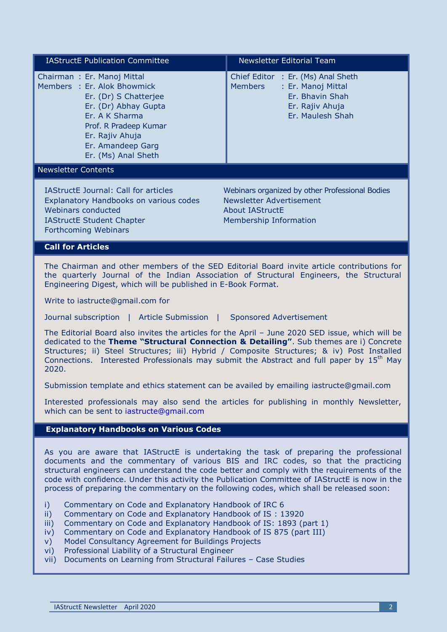| <b>IAStructE Publication Committee</b>                                                                                                                                                                               | <b>Newsletter Editorial Team</b>                                                                                                     |
|----------------------------------------------------------------------------------------------------------------------------------------------------------------------------------------------------------------------|--------------------------------------------------------------------------------------------------------------------------------------|
| Chairman: Er. Manoj Mittal<br>Members : Er. Alok Bhowmick<br>Er. (Dr) S Chatterjee<br>Er. (Dr) Abhay Gupta<br>Er. A K Sharma<br>Prof. R Pradeep Kumar<br>Er. Rajiv Ahuja<br>Er. Amandeep Garg<br>Er. (Ms) Anal Sheth | Chief Editor : Er. (Ms) Anal Sheth<br><b>Members</b><br>: Er. Manoj Mittal<br>Er. Bhavin Shah<br>Er. Rajiv Ahuja<br>Er. Maulesh Shah |
| <b>Newsletter Contents</b>                                                                                                                                                                                           |                                                                                                                                      |
| <b>IAStructE Journal: Call for articles</b><br>Explanatory Handbooks on various codes<br>Webinars conducted<br><b>IAStructE Student Chapter</b><br>Forthcoming Webinars                                              | Webinars organized by other Professional Bodies<br>Newsletter Advertisement<br>About IAStructE<br>Membership Information             |
| <b>Call for Articles</b>                                                                                                                                                                                             |                                                                                                                                      |
| The Chairman and other members of the SED Editorial Board invite article contributions for                                                                                                                           |                                                                                                                                      |

The Chairman and other members of the SED Editorial Board invite article contributions for the quarterly Journal of the Indian Association of Structural Engineers, the Structural Engineering Digest, which will be published in E-Book Format.

Write to iastructe@gmail.com for

Journal subscription | Article Submission | Sponsored Advertisement

The Editorial Board also invites the articles for the April – June 2020 SED issue, which will be dedicated to the **Theme "Structural Connection & Detailing"**. Sub themes are i) Concrete Structures; ii) Steel Structures; iii) Hybrid / Composite Structures; & iv) Post Installed Connections. Interested Professionals may submit the Abstract and full paper by  $15<sup>th</sup>$  May 2020.

Submission template and ethics statement can be availed by emailing [iastructe@gmail.com](mailto:iastructe@gmail.com)

Interested professionals may also send the articles for publishing in monthly Newsletter, which can be sent to [iastructe@gmail.com](mailto:iastructe@gmail.com)

# **Explanatory Handbooks on Various Codes**

As you are aware that IAStructE is undertaking the task of preparing the professional documents and the commentary of various BIS and IRC codes, so that the practicing structural engineers can understand the code better and comply with the requirements of the code with confidence. Under this activity the Publication Committee of IAStructE is now in the process of preparing the commentary on the following codes, which shall be released soon:

- i) Commentary on Code and Explanatory Handbook of IRC 6
- ii) Commentary on Code and Explanatory Handbook of IS : 13920
- iii) Commentary on Code and Explanatory Handbook of IS: 1893 (part 1)
- iv) Commentary on Code and Explanatory Handbook of IS 875 (part III)
- v) Model Consultancy Agreement for Buildings Projects
- vi) Professional Liability of a Structural Engineer
- vii) Documents on Learning from Structural Failures Case Studies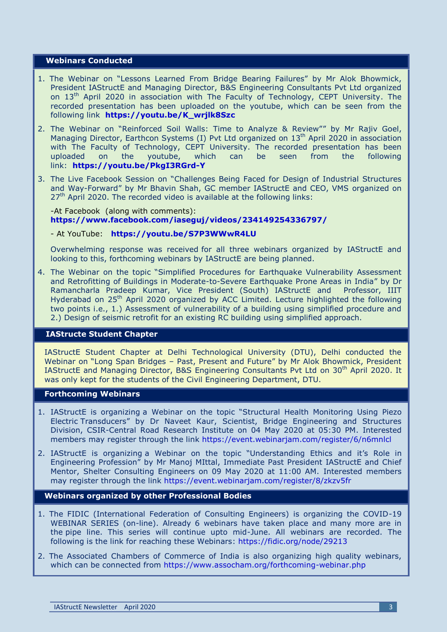#### **Webinars Conducted**

- 1. The Webinar on "Lessons Learned From Bridge Bearing Failures" by Mr Alok Bhowmick, President IAStructE and Managing Director, B&S Engineering Consultants Pvt Ltd organized on 13<sup>th</sup> April 2020 in association with The Faculty of Technology, CEPT University. The recorded presentation has been uploaded on the youtube, which can be seen from the following link **[https://youtu.be/K\\_wrjlk8Szc](https://youtu.be/K_wrjlk8Szc)**
- 2. The Webinar on "Reinforced Soil Walls: Time to Analyze & Review"" by Mr Rajiv Goel, Managing Director, Earthcon Systems (I) Pvt Ltd organized on 13<sup>th</sup> April 2020 in association with The Faculty of Technology, CEPT University. The recorded presentation has been uploaded on the youtube, which can be seen from the following link: **<https://youtu.be/PkgI3RGrd-Y>**
- 3. The Live Facebook Session on "Challenges Being Faced for Design of Industrial Structures and Way-Forward" by Mr Bhavin Shah, GC member IAStructE and CEO, VMS organized on  $27<sup>th</sup>$  April 2020. The recorded video is available at the following links:

#### -At Facebook (along with comments): **<https://www.facebook.com/iaseguj/videos/234149254336797/>**

#### - At YouTube: **<https://youtu.be/S7P3WWwR4LU>**

Overwhelming response was received for all three webinars organized by IAStructE and looking to this, forthcoming webinars by IAStructE are being planned.

4. The Webinar on the topic "Simplified Procedures for Earthquake Vulnerability Assessment and Retrofitting of Buildings in Moderate-to-Severe Earthquake Prone Areas in India" by Dr Ramancharla Pradeep Kumar, Vice President (South) IAStructE and Professor, IIIT Hyderabad on 25<sup>th</sup> April 2020 organized by ACC Limited. Lecture highlighted the following two points i.e., 1.) Assessment of vulnerability of a building using simplified procedure and 2.) Design of seismic retrofit for an existing RC building using simplified approach.

# **IAStructe Student Chapter**

IAStructE Student Chapter at Delhi Technological University (DTU), Delhi conducted the Webinar on "Long Span Bridges – Past, Present and Future" by Mr Alok Bhowmick, President IAStructE and Managing Director, B&S Engineering Consultants Pvt Ltd on 30<sup>th</sup> April 2020. It was only kept for the students of the Civil Engineering Department, DTU.

#### **Forthcoming Webinars**

- 1. IAStructE is organizing a Webinar on the topic "Structural Health Monitoring Using Piezo Electric Transducers" by Dr Naveet Kaur, Scientist, Bridge Engineering and Structures Division, CSIR-Central Road Research Institute on 04 May 2020 at 05:30 PM. Interested members may register through the link<https://event.webinarjam.com/register/6/n6mnlcl>
- 2. IAStructE is organizing a Webinar on the topic "Understanding Ethics and it's Role in Engineering Profession" by Mr Manoj MIttal, Immediate Past President IAStructE and Chief Mentor, Shelter Consulting Engineers on 09 May 2020 at 11:00 AM. Interested members may register through the link <https://event.webinarjam.com/register/8/zkzv5fr>

#### **Webinars organized by other Professional Bodies**

- 1. The FIDIC (International Federation of Consulting Engineers) is organizing the COVID-19 WEBINAR SERIES (on-line). Already 6 webinars have taken place and many more are in the pipe line. This series will continue upto mid-June. All webinars are recorded. The following is the link for reaching these Webinars: <https://fidic.org/node/29213>
- 2. The Associated Chambers of Commerce of India is also organizing high quality webinars, which can be connected from <https://www.assocham.org/forthcoming-webinar.php>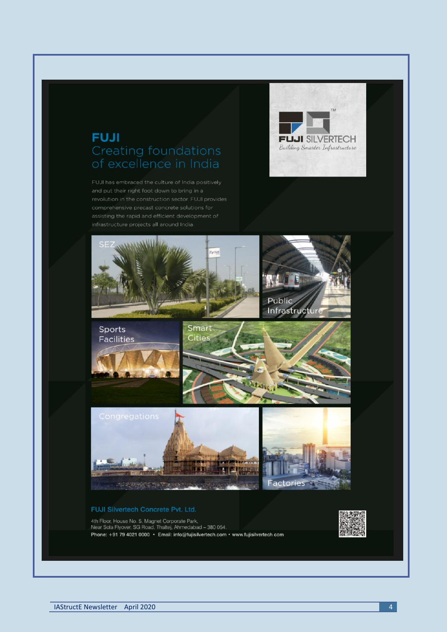# **FUJI Creating foundations**

FUJI has embraced the culture of India positively





4th Floor, House No. 5, Magnet Corporate Park,<br>Near Sola Flyover, SG Road, Thaltej, Ahmedabad - 380 054,<br>Phone: +91 79 4021 0000 · Email: info@fujisilvertech.com · www.fujisilvertech.com